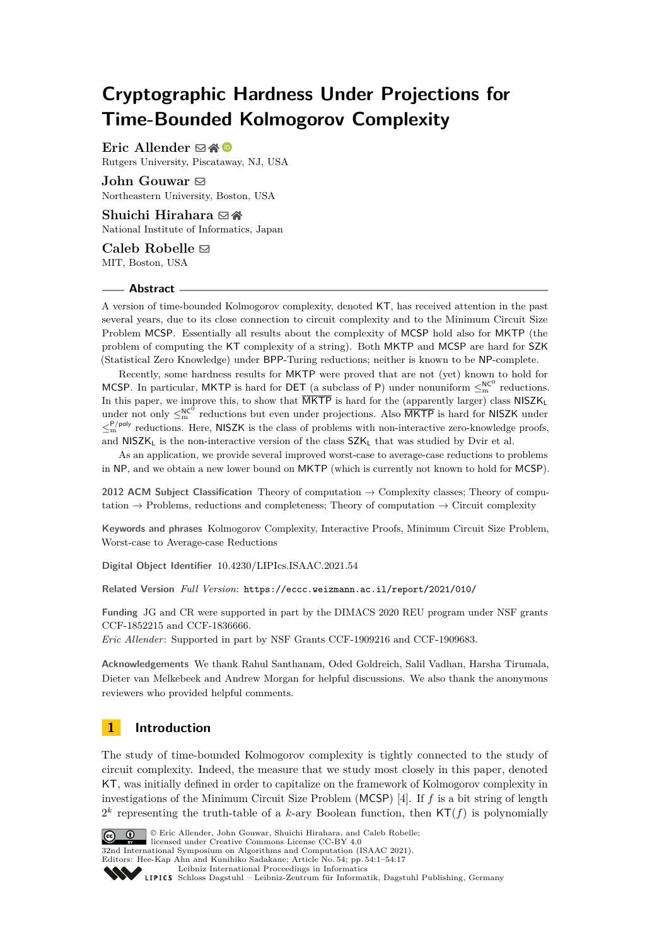# **Cryptographic Hardness Under Projections for Time-Bounded Kolmogorov Complexity**

**Eric Allender**  $\boxtimes \bigotimes$ Rutgers University, Piscataway, NJ, USA

**John Gouwar** ⊠ Northeastern University, Boston, USA

Shuichi Hirahara **⊠** n National Institute of Informatics, Japan

Caleb Robelle  $\boxtimes$ MIT, Boston, USA

#### **Abstract**

A version of time-bounded Kolmogorov complexity, denoted KT, has received attention in the past several years, due to its close connection to circuit complexity and to the Minimum Circuit Size Problem MCSP. Essentially all results about the complexity of MCSP hold also for MKTP (the problem of computing the KT complexity of a string). Both MKTP and MCSP are hard for SZK (Statistical Zero Knowledge) under BPP-Turing reductions; neither is known to be NP-complete.

Recently, some hardness results for MKTP were proved that are not (yet) known to hold for MCSP. In particular, MKTP is hard for DET (a subclass of P) under nonuniform  $\leq_m^{NC^0}$  reductions. In this paper, we improve this, to show that  $\overline{MKTP}$  is hard for the (apparently larger) class  $NISZK_L$ under not only  $\leq_m^{NC^0}$  reductions but even under projections. Also MKTP is hard for NISZK under  $\leq_{\rm m}^{\rm P/poly}$  reductions. Here, NISZK is the class of problems with non-interactive zero-knowledge proofs, and  $NISZK_L$  is the non-interactive version of the class  $SZK_L$  that was studied by Dvir et al.

As an application, we provide several improved worst-case to average-case reductions to problems in NP, and we obtain a new lower bound on MKTP (which is currently not known to hold for MCSP).

**2012 ACM Subject Classification** Theory of computation → Complexity classes; Theory of computation  $\rightarrow$  Problems, reductions and completeness; Theory of computation  $\rightarrow$  Circuit complexity

**Keywords and phrases** Kolmogorov Complexity, Interactive Proofs, Minimum Circuit Size Problem, Worst-case to Average-case Reductions

**Digital Object Identifier** [10.4230/LIPIcs.ISAAC.2021.54](https://doi.org/10.4230/LIPIcs.ISAAC.2021.54)

**Related Version** *Full Version*: <https://eccc.weizmann.ac.il/report/2021/010/>

**Funding** JG and CR were supported in part by the DIMACS 2020 REU program under NSF grants CCF-1852215 and CCF-1836666.

*Eric Allender*: Supported in part by NSF Grants CCF-1909216 and CCF-1909683.

**Acknowledgements** We thank Rahul Santhanam, Oded Goldreich, Salil Vadhan, Harsha Tirumala, Dieter van Melkebeek and Andrew Morgan for helpful discussions. We also thank the anonymous reviewers who provided helpful comments.

# **1 Introduction**

The study of time-bounded Kolmogorov complexity is tightly connected to the study of circuit complexity. Indeed, the measure that we study most closely in this paper, denoted KT, was initially defined in order to capitalize on the framework of Kolmogorov complexity in investigations of the Minimum Circuit Size Problem (MCSP) [\[4\]](#page-14-0). If *f* is a bit string of length  $2^k$  representing the truth-table of a *k*-ary Boolean function, then  $\mathsf{KT}(f)$  is polynomially



© Eric Allender, John Gouwar, Shuichi Hirahara, and Caleb Robelle;

 $\blacksquare$ <br/>licensed under Creative Commons License CC-BY 4.0 32nd International Symposium on Algorithms and Computation (ISAAC 2021).

Editors: Hee-Kap Ahn and Kunihiko Sadakane; Article No. 54; pp. 54:1–54:17

[Leibniz International Proceedings in Informatics](https://www.dagstuhl.de/lipics/)

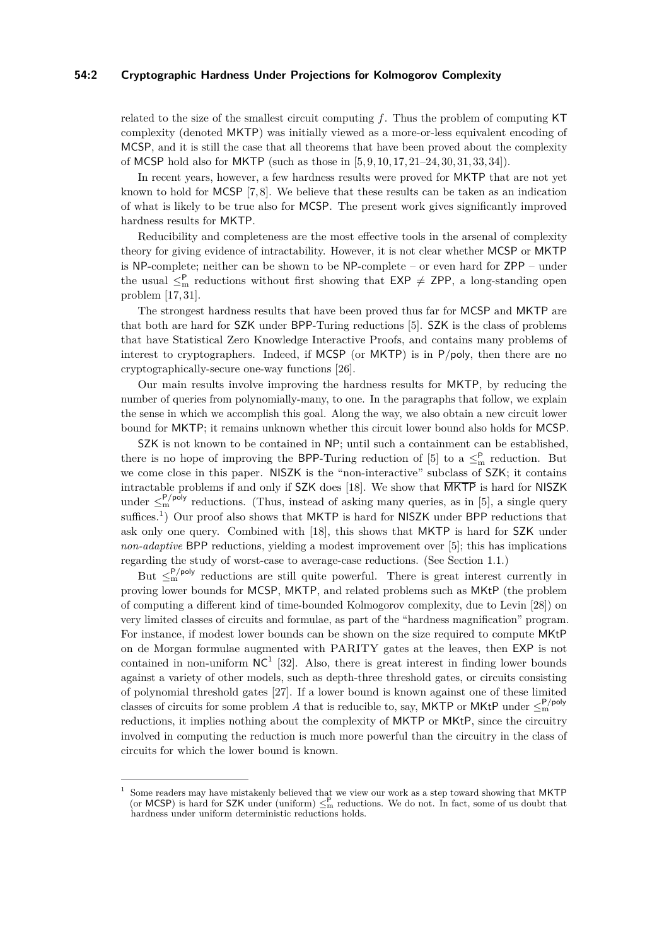#### **54:2 Cryptographic Hardness Under Projections for Kolmogorov Complexity**

related to the size of the smallest circuit computing *f*. Thus the problem of computing KT complexity (denoted MKTP) was initially viewed as a more-or-less equivalent encoding of MCSP, and it is still the case that all theorems that have been proved about the complexity of MCSP hold also for MKTP (such as those in [\[5,](#page-14-1) [9,](#page-14-2) [10,](#page-14-3) [17,](#page-15-0) [21–](#page-15-1)[24,](#page-15-2) [30,](#page-16-0) [31,](#page-16-1) [33,](#page-16-2) [34\]](#page-16-3)).

In recent years, however, a few hardness results were proved for MKTP that are not yet known to hold for MCSP [\[7,](#page-14-4) [8\]](#page-14-5). We believe that these results can be taken as an indication of what is likely to be true also for MCSP. The present work gives significantly improved hardness results for MKTP.

Reducibility and completeness are the most effective tools in the arsenal of complexity theory for giving evidence of intractability. However, it is not clear whether MCSP or MKTP is NP-complete; neither can be shown to be NP-complete – or even hard for ZPP – under the usual  $\leq^P_m$  reductions without first showing that  $EXP \neq ZPP$ , a long-standing open problem [\[17,](#page-15-0) [31\]](#page-16-1).

The strongest hardness results that have been proved thus far for MCSP and MKTP are that both are hard for SZK under BPP-Turing reductions [\[5\]](#page-14-1). SZK is the class of problems that have Statistical Zero Knowledge Interactive Proofs, and contains many problems of interest to cryptographers. Indeed, if MCSP (or MKTP) is in P/poly, then there are no cryptographically-secure one-way functions [\[26\]](#page-15-3).

Our main results involve improving the hardness results for MKTP, by reducing the number of queries from polynomially-many, to one. In the paragraphs that follow, we explain the sense in which we accomplish this goal. Along the way, we also obtain a new circuit lower bound for MKTP; it remains unknown whether this circuit lower bound also holds for MCSP.

SZK is not known to be contained in NP; until such a containment can be established, there is no hope of improving the BPP-Turing reduction of [\[5\]](#page-14-1) to a  $\leq^P_m$  reduction. But we come close in this paper. NISZK is the "non-interactive" subclass of SZK; it contains intractable problems if and only if  $SZK$  does [\[18\]](#page-15-4). We show that  $\overline{MKTP}$  is hard for NISZK under  $\leq^{\mathsf{P/poly}}_{m}$  reductions. (Thus, instead of asking many queries, as in [\[5\]](#page-14-1), a single query suffices.<sup>[1](#page-1-0)</sup>) Our proof also shows that MKTP is hard for NISZK under BPP reductions that ask only one query. Combined with [\[18\]](#page-15-4), this shows that MKTP is hard for SZK under *non-adaptive* BPP reductions, yielding a modest improvement over [\[5\]](#page-14-1); this has implications regarding the study of worst-case to average-case reductions. (See Section [1.1.](#page-2-0))

But  $\leq_m$ <sup>P/poly</sup> reductions are still quite powerful. There is great interest currently in proving lower bounds for MCSP, MKTP, and related problems such as MKtP (the problem of computing a different kind of time-bounded Kolmogorov complexity, due to Levin [\[28\]](#page-16-4)) on very limited classes of circuits and formulae, as part of the "hardness magnification" program. For instance, if modest lower bounds can be shown on the size required to compute MKtP on de Morgan formulae augmented with PARITY gates at the leaves, then EXP is not contained in non-uniform  $NC^1$  [\[32\]](#page-16-5). Also, there is great interest in finding lower bounds against a variety of other models, such as depth-three threshold gates, or circuits consisting of polynomial threshold gates [\[27\]](#page-15-5). If a lower bound is known against one of these limited classes of circuits for some problem *A* that is reducible to, say, MKTP or MKtP under  $\leq^{\mathsf{P/poly}}_{\mathsf{m}}$ reductions, it implies nothing about the complexity of MKTP or MKtP, since the circuitry involved in computing the reduction is much more powerful than the circuitry in the class of circuits for which the lower bound is known.

<span id="page-1-0"></span>Some readers may have mistakenly believed that we view our work as a step toward showing that MKTP (or MCSP) is hard for SZK under (uniform)  $\leq^P_m$  reductions. We do not. In fact, some of us doubt that hardness under uniform deterministic reductions holds.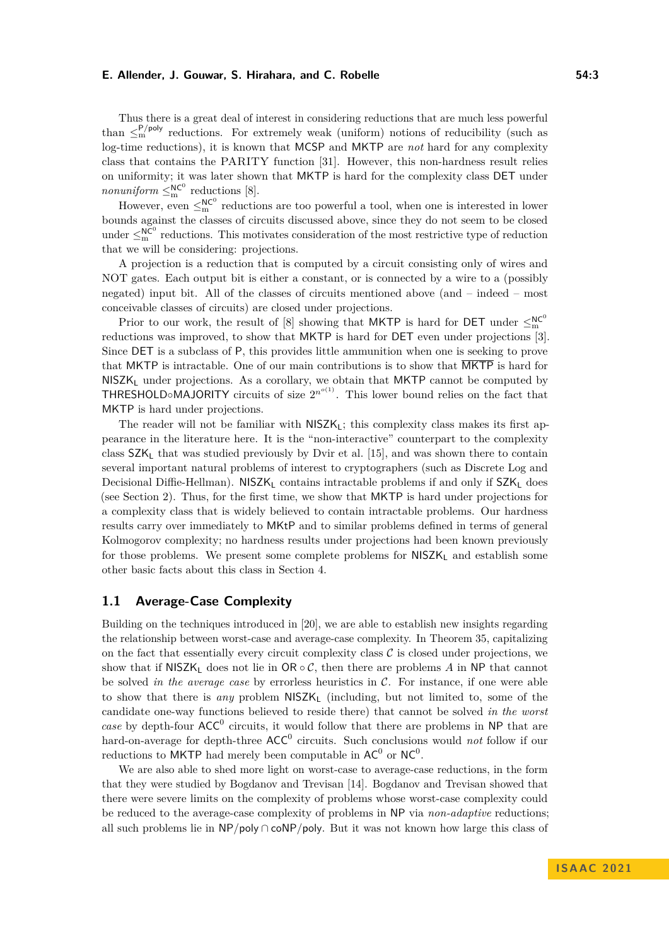Thus there is a great deal of interest in considering reductions that are much less powerful than  $\leq^{\mathsf{P}/\mathsf{poly}}_{m}$  reductions. For extremely weak (uniform) notions of reducibility (such as log-time reductions), it is known that MCSP and MKTP are *not* hard for any complexity class that contains the PARITY function [\[31\]](#page-16-1). However, this non-hardness result relies on uniformity; it was later shown that MKTP is hard for the complexity class DET under *nonuniform*  $\leq^{\mathsf{NC}^0}_{m}$  reductions [\[8\]](#page-14-5).

However, even  $\leq^{\mathsf{NC}^0}_{m}$  reductions are too powerful a tool, when one is interested in lower bounds against the classes of circuits discussed above, since they do not seem to be closed under  $\leq^{\mathsf{NC}^0}_{m}$  reductions. This motivates consideration of the most restrictive type of reduction that we will be considering: projections.

A projection is a reduction that is computed by a circuit consisting only of wires and NOT gates. Each output bit is either a constant, or is connected by a wire to a (possibly negated) input bit. All of the classes of circuits mentioned above (and – indeed – most conceivable classes of circuits) are closed under projections.

Prior to our work, the result of [\[8\]](#page-14-5) showing that MKTP is hard for DET under  $\leq^{\mathbb{NC}^0}_{m}$ reductions was improved, to show that MKTP is hard for DET even under projections [\[3\]](#page-14-6). Since DET is a subclass of P, this provides little ammunition when one is seeking to prove that MKTP is intractable. One of our main contributions is to show that MKTP is hard for  $NISZK<sub>L</sub>$  under projections. As a corollary, we obtain that MKTP cannot be computed by **THRESHOLD◦MAJORITY** circuits of size  $2^{n^o(1)}$ . This lower bound relies on the fact that MKTP is hard under projections.

The reader will not be familiar with  $NISZK_L$ ; this complexity class makes its first appearance in the literature here. It is the "non-interactive" counterpart to the complexity class  $SZK_L$  that was studied previously by Dvir et al. [\[15\]](#page-15-6), and was shown there to contain several important natural problems of interest to cryptographers (such as Discrete Log and Decisional Diffie-Hellman). NISZK<sub>L</sub> contains intractable problems if and only if SZK<sub>L</sub> does (see Section [2\)](#page-3-0). Thus, for the first time, we show that MKTP is hard under projections for a complexity class that is widely believed to contain intractable problems. Our hardness results carry over immediately to MKtP and to similar problems defined in terms of general Kolmogorov complexity; no hardness results under projections had been known previously for those problems. We present some complete problems for NISZK<sup>L</sup> and establish some other basic facts about this class in Section [4.](#page-9-0)

#### <span id="page-2-0"></span>**1.1 Average-Case Complexity**

Building on the techniques introduced in [\[20\]](#page-15-7), we are able to establish new insights regarding the relationship between worst-case and average-case complexity. In Theorem [35,](#page-13-0) capitalizing on the fact that essentially every circuit complexity class  $\mathcal C$  is closed under projections, we show that if NISZK<sub>L</sub> does not lie in  $OR \circ C$ , then there are problems A in NP that cannot be solved *in the average case* by errorless heuristics in C. For instance, if one were able to show that there is *any* problem NISZK<sup>L</sup> (including, but not limited to, some of the candidate one-way functions believed to reside there) that cannot be solved *in the worst case* by depth-four  $ACC^0$  circuits, it would follow that there are problems in NP that are hard-on-average for depth-three  $ACC^0$  circuits. Such conclusions would *not* follow if our reductions to MKTP had merely been computable in  $AC^0$  or  $NC^0$ .

We are also able to shed more light on worst-case to average-case reductions, in the form that they were studied by Bogdanov and Trevisan [\[14\]](#page-15-8). Bogdanov and Trevisan showed that there were severe limits on the complexity of problems whose worst-case complexity could be reduced to the average-case complexity of problems in NP via *non-adaptive* reductions; all such problems lie in NP/poly ∩ coNP/poly. But it was not known how large this class of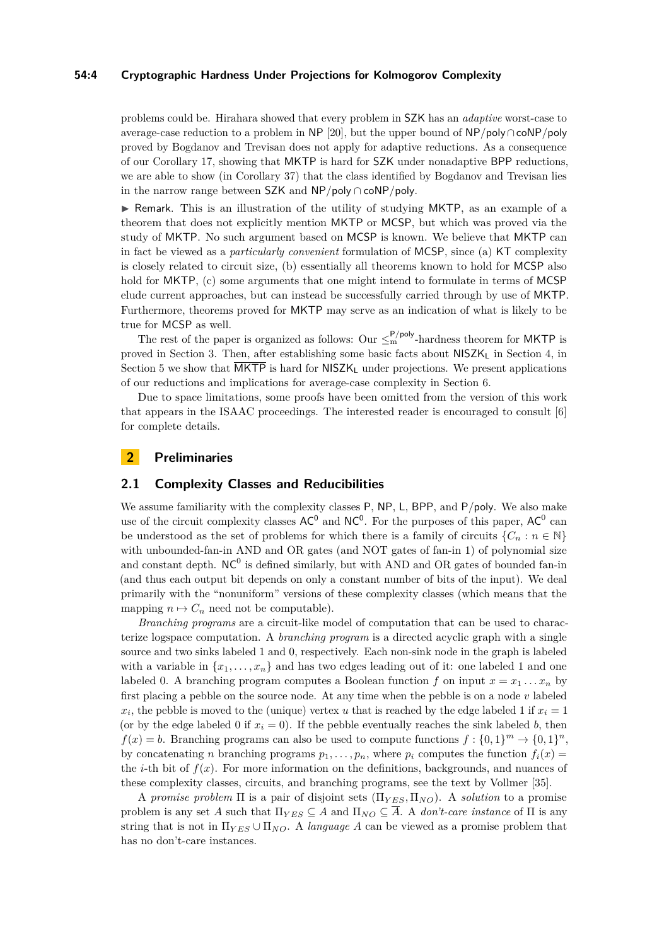#### **54:4 Cryptographic Hardness Under Projections for Kolmogorov Complexity**

problems could be. Hirahara showed that every problem in SZK has an *adaptive* worst-case to average-case reduction to a problem in NP [\[20\]](#page-15-7), but the upper bound of NP/poly∩coNP/poly proved by Bogdanov and Trevisan does not apply for adaptive reductions. As a consequence of our Corollary [17,](#page-8-0) showing that MKTP is hard for SZK under nonadaptive BPP reductions, we are able to show (in Corollary [37\)](#page-13-1) that the class identified by Bogdanov and Trevisan lies in the narrow range between SZK and NP/poly ∩ coNP/poly.

▶ Remark. This is an illustration of the utility of studying MKTP, as an example of a theorem that does not explicitly mention MKTP or MCSP, but which was proved via the study of MKTP. No such argument based on MCSP is known. We believe that MKTP can in fact be viewed as a *particularly convenient* formulation of MCSP, since (a) KT complexity is closely related to circuit size, (b) essentially all theorems known to hold for MCSP also hold for MKTP, (c) some arguments that one might intend to formulate in terms of MCSP elude current approaches, but can instead be successfully carried through by use of MKTP. Furthermore, theorems proved for MKTP may serve as an indication of what is likely to be true for MCSP as well.

The rest of the paper is organized as follows: Our  $\leq^{\mathsf{P/poly}}_{m}$ -hardness theorem for MKTP is proved in Section [3.](#page-6-0) Then, after establishing some basic facts about  $NISZK_L$  in Section [4,](#page-9-0) in Section [5](#page-11-0) we show that  $\overline{MKTP}$  is hard for  $NISZK_L$  under projections. We present applications of our reductions and implications for average-case complexity in Section [6.](#page-12-0)

Due to space limitations, some proofs have been omitted from the version of this work that appears in the ISAAC proceedings. The interested reader is encouraged to consult [\[6\]](#page-14-7) for complete details.

#### <span id="page-3-0"></span>**2 Preliminaries**

### **2.1 Complexity Classes and Reducibilities**

We assume familiarity with the complexity classes P, NP, L, BPP, and P/poly. We also make use of the circuit complexity classes  $AC^0$  and  $NC^0$ . For the purposes of this paper,  $AC^0$  can be understood as the set of problems for which there is a family of circuits  $\{C_n : n \in \mathbb{N}\}\$ with unbounded-fan-in AND and OR gates (and NOT gates of fan-in 1) of polynomial size and constant depth.  $NC^0$  is defined similarly, but with AND and OR gates of bounded fan-in (and thus each output bit depends on only a constant number of bits of the input). We deal primarily with the "nonuniform" versions of these complexity classes (which means that the mapping  $n \mapsto C_n$  need not be computable).

*Branching programs* are a circuit-like model of computation that can be used to characterize logspace computation. A *branching program* is a directed acyclic graph with a single source and two sinks labeled 1 and 0, respectively. Each non-sink node in the graph is labeled with a variable in  $\{x_1, \ldots, x_n\}$  and has two edges leading out of it: one labeled 1 and one labeled 0. A branching program computes a Boolean function *f* on input  $x = x_1 \ldots x_n$  by first placing a pebble on the source node. At any time when the pebble is on a node *v* labeled  $x_i$ , the pebble is moved to the (unique) vertex *u* that is reached by the edge labeled 1 if  $x_i = 1$ (or by the edge labeled 0 if  $x_i = 0$ ). If the pebble eventually reaches the sink labeled *b*, then  $f(x) = b$ . Branching programs can also be used to compute functions  $f: \{0,1\}^m \to \{0,1\}^n$ , by concatenating *n* branching programs  $p_1, \ldots, p_n$ , where  $p_i$  computes the function  $f_i(x) =$ the *i*-th bit of  $f(x)$ . For more information on the definitions, backgrounds, and nuances of these complexity classes, circuits, and branching programs, see the text by Vollmer [\[35\]](#page-16-6).

A *promise problem* Π is a pair of disjoint sets (Π*Y ES,* Π*NO*). A *solution* to a promise problem is any set *A* such that  $\Pi_{YES} \subseteq A$  and  $\Pi_{NO} \subseteq \overline{A}$ . A *don't-care instance* of  $\Pi$  is any string that is not in  $\Pi_{YES} \cup \Pi_{NO}$ . A *language A* can be viewed as a promise problem that has no don't-care instances.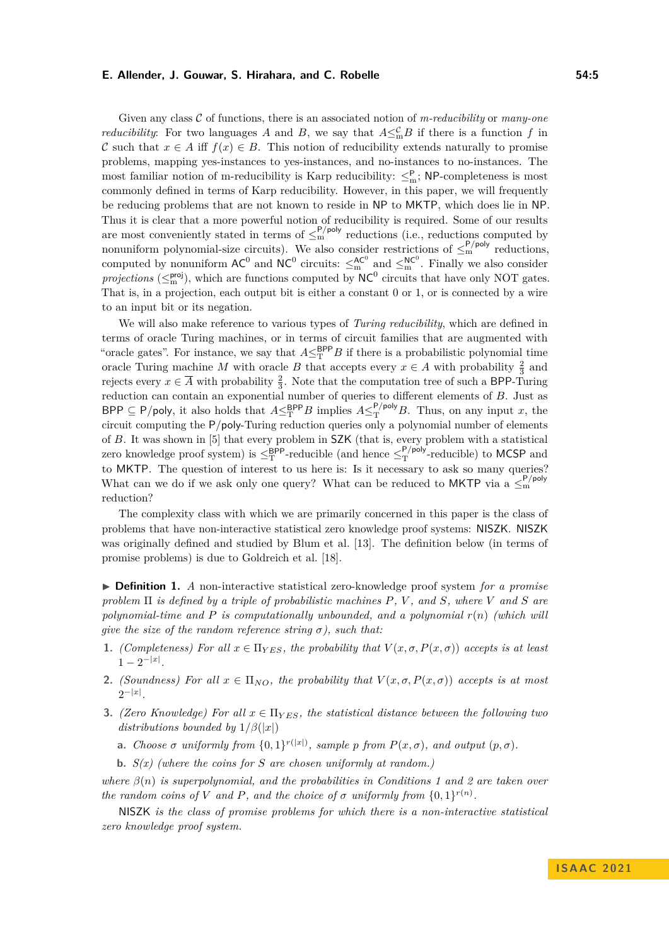Given any class  $C$  of functions, there is an associated notion of *m-reducibility* or *many-one reducibility*: For two languages *A* and *B*, we say that  $A \leq_m^{\mathcal{C}} B$  if there is a function *f* in C such that  $x \in A$  iff  $f(x) \in B$ . This notion of reducibility extends naturally to promise problems, mapping yes-instances to yes-instances, and no-instances to no-instances. The most familiar notion of m-reducibility is Karp reducibility:  $\leq^P_m$ ; NP-completeness is most commonly defined in terms of Karp reducibility. However, in this paper, we will frequently be reducing problems that are not known to reside in NP to MKTP, which does lie in NP. Thus it is clear that a more powerful notion of reducibility is required. Some of our results are most conveniently stated in terms of  $\leq^{\mathsf{P/poly}}_{m}$  reductions (i.e., reductions computed by nonuniform polynomial-size circuits). We also consider restrictions of  $\leq^{\mathsf{P/poly}}_{m}$  reductions, computed by nonuniform  $AC^0$  and  $NC^0$  circuits:  $\leq^{\text{AC}^0}_{m}$  and  $\leq^{\text{NC}^0}_{m}$ . Finally we also consider *projections* ( $\leq^{\text{proj}}_{m}$ ), which are functions computed by  $NC^{0}$  circuits that have only NOT gates. That is, in a projection, each output bit is either a constant 0 or 1, or is connected by a wire to an input bit or its negation.

We will also make reference to various types of *Turing reducibility*, which are defined in terms of oracle Turing machines, or in terms of circuit families that are augmented with "oracle gates". For instance, we say that  $A \leq_T^{BPP} B$  if there is a probabilistic polynomial time oracle Turing machine *M* with oracle *B* that accepts every  $x \in A$  with probability  $\frac{2}{3}$  and rejects every  $x \in \overline{A}$  with probability  $\frac{2}{3}$ . Note that the computation tree of such a BPP-Turing reduction can contain an exponential number of queries to different elements of *B*. Just as  $BPP \subseteq P/poly$ , it also holds that  $A \leq_T^{BPP} B$  implies  $A \leq_T^{P/poly} B$ . Thus, on any input *x*, the circuit computing the P/poly-Turing reduction queries only a polynomial number of elements of *B*. It was shown in [\[5\]](#page-14-1) that every problem in SZK (that is, every problem with a statistical zero knowledge proof system) is  $\leq_T^{BPP}$ -reducible (and hence  $\leq_T^{P/poly}$  $T<sub>T</sub><sup>Poby</sup>$ -reducible) to MCSP and to MKTP. The question of interest to us here is: Is it necessary to ask so many queries? What can we do if we ask only one query? What can be reduced to MKTP via a  $\leq^{\mathsf{P/poly}}_{\mathsf{m}}$ reduction?

The complexity class with which we are primarily concerned in this paper is the class of problems that have non-interactive statistical zero knowledge proof systems: NISZK. NISZK was originally defined and studied by Blum et al. [\[13\]](#page-15-9). The definition below (in terms of promise problems) is due to Goldreich et al. [\[18\]](#page-15-4).

<span id="page-4-0"></span>▶ **Definition 1.** *A* non-interactive statistical zero-knowledge proof system *for a promise problem* Π *is defined by a triple of probabilistic machines P, V , and S, where V and S are polynomial-time and P is computationally unbounded, and a polynomial r*(*n*) *(which will give the size of the random reference string*  $\sigma$ *), such that:* 

- **1.** *(Completeness)* For all  $x \in \Pi_{YES}$ , the probability that  $V(x, \sigma, P(x, \sigma))$  accepts is at least  $1 - 2^{-|x|}$ .
- **2.** *(Soundness)* For all  $x \in \Pi_{NO}$ *, the probability that*  $V(x, \sigma, P(x, \sigma))$  *accepts is at most*  $2^{-|x|}$ .
- **3.** *(Zero Knowledge) For all*  $x \in \Pi_{YES}$ *, the statistical distance between the following two distributions bounded by*  $1/\beta(|x|)$ 
	- **a.** *Choose*  $\sigma$  *uniformly from*  $\{0,1\}^{r(|x|)}$ *, sample p from*  $P(x,\sigma)$ *, and output*  $(p,\sigma)$ *.*
	- **b.** *S(x) (where the coins for S are chosen uniformly at random.)*

*where β*(*n*) *is superpolynomial, and the probabilities in Conditions 1 and 2 are taken over the random coins of V and P*, *and the choice of*  $\sigma$  *uniformly from*  $\{0,1\}^{r(n)}$ *.* 

NISZK *is the class of promise problems for which there is a non-interactive statistical zero knowledge proof system.*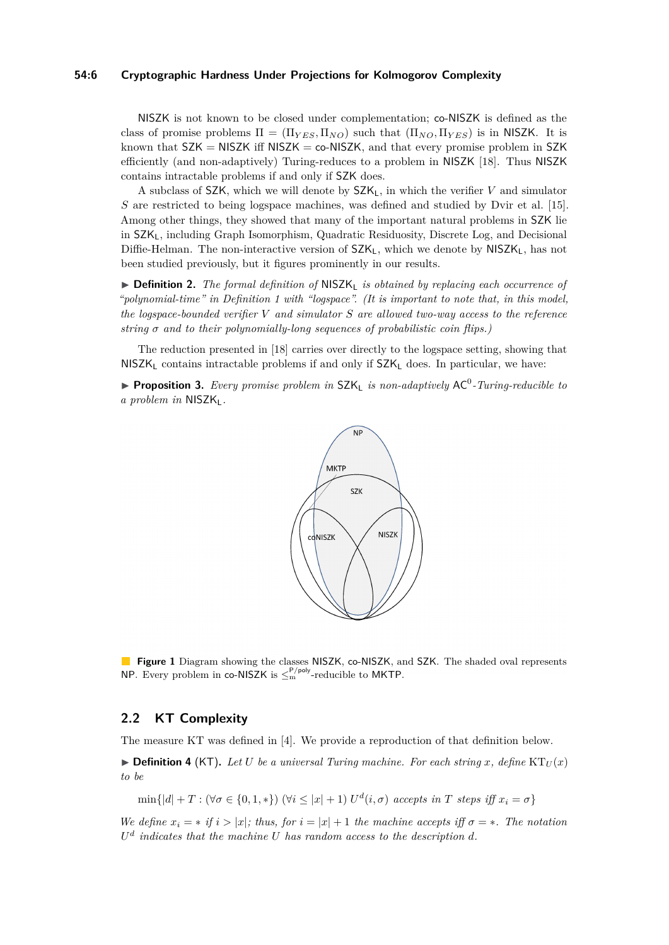#### **54:6 Cryptographic Hardness Under Projections for Kolmogorov Complexity**

NISZK is not known to be closed under complementation; co-NISZK is defined as the class of promise problems  $\Pi = (\Pi_{YES}, \Pi_{NO})$  such that  $(\Pi_{NO}, \Pi_{YES})$  is in NISZK. It is known that  $SZK = NISZK$  iff  $NISZK = co-NISZK$ , and that every promise problem in SZK efficiently (and non-adaptively) Turing-reduces to a problem in NISZK [\[18\]](#page-15-4). Thus NISZK contains intractable problems if and only if SZK does.

A subclass of SZK, which we will denote by SZKL, in which the verifier *V* and simulator *S* are restricted to being logspace machines, was defined and studied by Dvir et al. [\[15\]](#page-15-6). Among other things, they showed that many of the important natural problems in SZK lie in SZKL, including Graph Isomorphism, Quadratic Residuosity, Discrete Log, and Decisional Diffie-Helman. The non-interactive version of  $SZK_L$ , which we denote by  $NISZK_L$ , has not been studied previously, but it figures prominently in our results.

▶ **Definition 2.** *The formal definition of* NISZK<sup>L</sup> *is obtained by replacing each occurrence of "polynomial-time" in Definition [1](#page-4-0) with "logspace". (It is important to note that, in this model, the logspace-bounded verifier V and simulator S are allowed two-way access to the reference string σ and to their polynomially-long sequences of probabilistic coin flips.)*

The reduction presented in [\[18\]](#page-15-4) carries over directly to the logspace setting, showing that  $NISZK<sub>L</sub>$  contains intractable problems if and only if  $SZK<sub>L</sub>$  does. In particular, we have:

<span id="page-5-0"></span>▶ **Proposition 3.** Every promise problem in SZK<sub>L</sub> is non-adaptively AC<sup>0</sup>-Turing-reducible to *a problem in* NISZK<sub>1</sub>.



**Figure 1** Diagram showing the classes NISZK, co-NISZK, and SZK. The shaded oval represents NP. Every problem in co-NISZK is  $\leq_n^{P/poly}$ -reducible to MKTP.

# **2.2 KT Complexity**

The measure KT was defined in [\[4\]](#page-14-0). We provide a reproduction of that definition below.

 $\blacktriangleright$  **Definition 4** (KT). Let *U* be a universal Turing machine. For each string x, define  $KT_U(x)$ *to be*

 $\min\{|d| + T : (\forall \sigma \in \{0, 1, *\}) \ (\forall i \leq |x| + 1) \ U^d(i, \sigma) \text{ accepts in } T \text{ steps iff } x_i = \sigma\}$ 

*We define*  $x_i = *$  *if*  $i > |x|$ *; thus, for*  $i = |x| + 1$  *the machine accepts iff*  $\sigma = *$ *. The notation U d indicates that the machine U has random access to the description d.*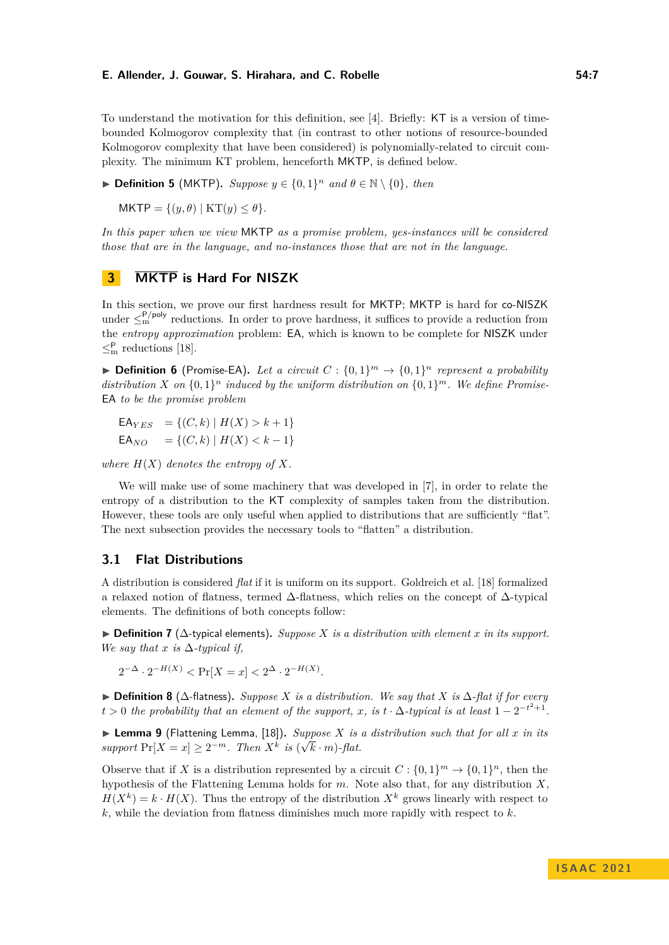To understand the motivation for this definition, see [\[4\]](#page-14-0). Briefly: KT is a version of timebounded Kolmogorov complexity that (in contrast to other notions of resource-bounded Kolmogorov complexity that have been considered) is polynomially-related to circuit complexity. The minimum KT problem, henceforth MKTP, is defined below.

▶ **Definition 5** (MKTP). *Suppose*  $y \in \{0,1\}^n$  *and*  $\theta \in \mathbb{N} \setminus \{0\}$ *, then* 

 $MKTP = \{(y, \theta) | KT(y) < \theta\}.$ 

*In this paper when we view* MKTP *as a promise problem, yes-instances will be considered those that are in the language, and no-instances those that are not in the language.*

# <span id="page-6-0"></span>**3 MKTP is Hard For NISZK**

In this section, we prove our first hardness result for MKTP; MKTP is hard for co-NISZK under  $\leq_n^{P/poly}$  reductions. In order to prove hardness, it suffices to provide a reduction from the *entropy approximation* problem: EA, which is known to be complete for NISZK under  $\leq^{\mathsf{P}}_{m}$  reductions [\[18\]](#page-15-4).

**• Definition 6** (Promise-EA). Let a circuit  $C: \{0,1\}^m \to \{0,1\}^n$  represent a probability distribution *X* on  $\{0,1\}^n$  induced by the uniform distribution on  $\{0,1\}^m$ . We define Promise-EA *to be the promise problem*

 $EA_{YES} = \{(C, k) | H(X) > k+1\}$  $EA_{NO}$  = { $(C, k) | H(X) < k - 1$ }

*where*  $H(X)$  *denotes the entropy of*  $X$ *.* 

We will make use of some machinery that was developed in [\[7\]](#page-14-4), in order to relate the entropy of a distribution to the KT complexity of samples taken from the distribution. However, these tools are only useful when applied to distributions that are sufficiently "flat". The next subsection provides the necessary tools to "flatten" a distribution.

### **3.1 Flat Distributions**

A distribution is considered *flat* if it is uniform on its support. Goldreich et al. [\[18\]](#page-15-4) formalized a relaxed notion of flatness, termed ∆-flatness, which relies on the concept of ∆-typical elements. The definitions of both concepts follow:

▶ **Definition 7** (∆-typical elements)**.** *Suppose X is a distribution with element x in its support. We say that*  $x$  *is*  $\Delta$ *-typical if,* 

 $2^{-\Delta} \cdot 2^{-H(X)} < \Pr[X = x] < 2^{\Delta} \cdot 2^{-H(X)}$ .

▶ **Definition 8** (∆-flatness)**.** *Suppose X is a distribution. We say that X is* ∆*-flat if for every*  $t > 0$  the probability that an element of the support, *x*, is  $t \cdot \Delta$ -typical is at least  $1 - 2^{-t^2 + 1}$ .

▶ **Lemma 9** (Flattening Lemma, [\[18\]](#page-15-4)). *Suppose X is a distribution such that for all x in its support*  $Pr[X = x] \geq 2^{-m}$ *. Then*  $X^k$  *is*  $(\sqrt{k} \cdot m)$ *-flat.* 

Observe that if *X* is a distribution represented by a circuit  $C: \{0,1\}^m \to \{0,1\}^n$ , then the hypothesis of the Flattening Lemma holds for *m*. Note also that, for any distribution *X*,  $H(X^k) = k \cdot H(X)$ . Thus the entropy of the distribution  $X^k$  grows linearly with respect to *k*, while the deviation from flatness diminishes much more rapidly with respect to *k*.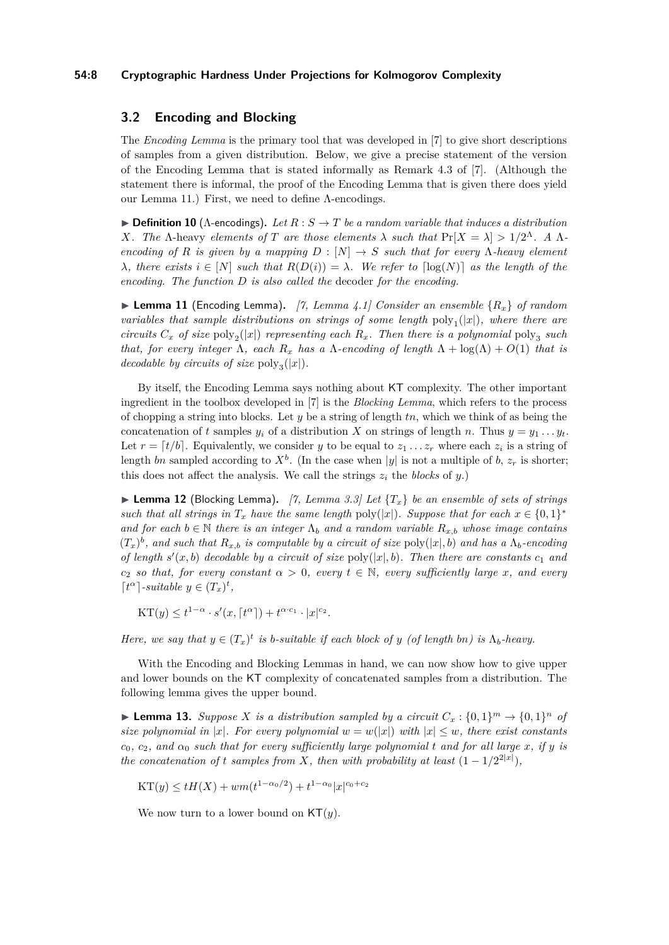#### **54:8 Cryptographic Hardness Under Projections for Kolmogorov Complexity**

# **3.2 Encoding and Blocking**

The *Encoding Lemma* is the primary tool that was developed in [\[7\]](#page-14-4) to give short descriptions of samples from a given distribution. Below, we give a precise statement of the version of the Encoding Lemma that is stated informally as Remark 4.3 of [\[7\]](#page-14-4). (Although the statement there is informal, the proof of the Encoding Lemma that is given there does yield our Lemma [11.](#page-7-0)) First, we need to define Λ-encodings.

 $\triangleright$  **Definition 10** ( $\Lambda$ -encodings). Let  $R : S \to T$  be a random variable that induces a distribution *X. The*  $\Lambda$ -heavy *elements of T* are those elements  $\lambda$  such that  $\Pr[X = \lambda] > 1/2^{\Lambda}$ . A  $\Lambda$ *encoding of R is given by a mapping*  $D : [N] \rightarrow S$  *such that for every*  $\Lambda$ -heavy element *λ, there exists*  $i \in [N]$  *such that*  $R(D(i)) = \lambda$ *. We refer to*  $\lceil log(N) \rceil$  *as the length of the encoding. The function D is also called the* decoder *for the encoding.*

<span id="page-7-0"></span> $\blacktriangleright$  **Lemma 11** (Encoding Lemma). [\[7,](#page-14-4) Lemma 4.1] Consider an ensemble  $\{R_x\}$  of random  $variables that sample distributions on strings of some length  $\text{poly}_1(|x|)$ , where there are$ *circuits*  $C_x$  *of size*  $poly_2(|x|)$  *representing each*  $R_x$ *. Then there is a polynomial*  $poly_3$  *such that, for every integer*  $\Lambda$ *, each*  $R_x$  *has a*  $\Lambda$ *-encoding of length*  $\Lambda$  + log( $\Lambda$ ) +  $O(1)$  *that is decodable by circuits of size*  $\text{poly}_3(|x|)$ *.* 

By itself, the Encoding Lemma says nothing about KT complexity. The other important ingredient in the toolbox developed in [\[7\]](#page-14-4) is the *Blocking Lemma*, which refers to the process of chopping a string into blocks. Let *y* be a string of length *tn*, which we think of as being the concatenation of *t* samples  $y_i$  of a distribution *X* on strings of length *n*. Thus  $y = y_1 \ldots y_t$ . Let  $r = \lceil t/b \rceil$ . Equivalently, we consider *y* to be equal to  $z_1 \ldots z_r$  where each  $z_i$  is a string of length *bn* sampled according to  $X^b$ . (In the case when |*y*| is not a multiple of *b*,  $z_r$  is shorter; this does not affect the analysis. We call the strings  $z_i$  the *blocks* of  $y_i$ .)

 $\blacktriangleright$  **Lemma 12** (Blocking Lemma). [\[7,](#page-14-4) Lemma 3.3] Let  $\{T_x\}$  be an ensemble of sets of strings *such that all strings in*  $T_x$  *have the same length* poly(|*x*|)*. Suppose that for each*  $x \in \{0,1\}^*$ *and for each*  $b \in \mathbb{N}$  *there is an integer*  $\Lambda_b$  *and a random variable*  $R_{x,b}$  *whose image contains*  $(T_x)^b$ , and such that  $R_{x,b}$  is computable by a circuit of size poly $(|x|, b)$  and has a  $\Lambda_b$ -encoding *of length*  $s'(x, b)$  *decodable by a circuit of size* poly $(|x|, b)$ *. Then there are constants*  $c_1$  *and*  $c_2$  *so that, for every constant*  $\alpha > 0$ *, every*  $t \in \mathbb{N}$ *, every sufficiently large x, and every*  $\lceil t^{\alpha} \rceil$ -suitable  $y \in (T_x)^t$ ,

 $KT(y) \leq t^{1-\alpha} \cdot s'(x, \lceil t^{\alpha} \rceil) + t^{\alpha \cdot c_1} \cdot |x|^{c_2}.$ 

*Here, we say that*  $y \in (T_x)^t$  *is b-suitable if each block of y (of length bn) is*  $\Lambda_b$ -*heavy.* 

With the Encoding and Blocking Lemmas in hand, we can now show how to give upper and lower bounds on the KT complexity of concatenated samples from a distribution. The following lemma gives the upper bound.

<span id="page-7-1"></span>**Example 13.** Suppose *X* is a distribution sampled by a circuit  $C_x$ :  $\{0,1\}^m \rightarrow \{0,1\}^n$  of *size polynomial in*  $|x|$ *. For every polynomial*  $w = w(|x|)$  *with*  $|x| \leq w$ *, there exist constants*  $c_0$ *, c<sub>2</sub>, and*  $\alpha_0$  *such that for every sufficiently large polynomial t and for all large x, if y is the concatenation of t samples from X, then with probability at least*  $(1 - 1/2^{2|x|})$ *,* 

$$
KT(y) \le tH(X) + w m(t^{1-\alpha_0/2}) + t^{1-\alpha_0}|x|^{c_0+c_2}
$$

<span id="page-7-2"></span>We now turn to a lower bound on KT(*y*).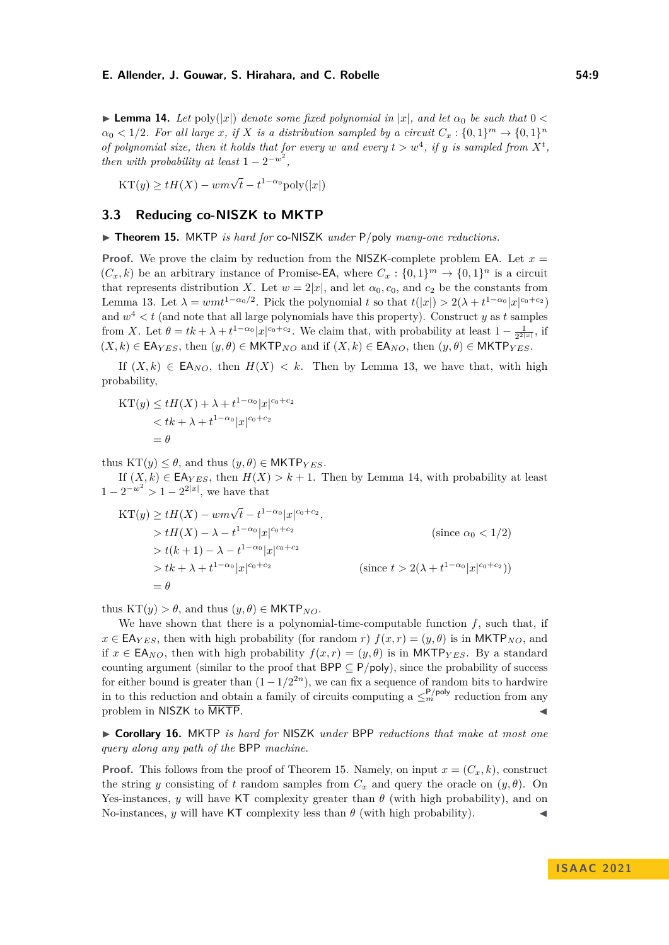$\blacktriangleright$  **Lemma 14.** Let poly(|x|) denote some fixed polynomial in |x|*,* and let  $\alpha_0$  be such that  $0 < \alpha_0$  $\alpha_0 < 1/2$ . For all large *x*, if *X* is a distribution sampled by a circuit  $C_x : \{0,1\}^m \to \{0,1\}^n$ *of polynomial size, then it holds that for every w and every*  $t > w<sup>4</sup>$ , *if y is sampled from*  $X<sup>t</sup>$ , *then with probability at least*  $1 - 2^{-w^2}$ *,*

 $KT(y) \geq tH(X) - w m \sqrt{t} - t^{1-\alpha_0} \text{poly}(|x|)$ 

# **3.3 Reducing co-NISZK to MKTP**

<span id="page-8-1"></span>▶ **Theorem 15.** MKTP *is hard for* co-NISZK *under* P/poly *many-one reductions.* 

**Proof.** We prove the claim by reduction from the NISZK-complete problem EA. Let  $x =$  $(C_x, k)$  be an arbitrary instance of Promise-EA, where  $C_x$ :  $\{0, 1\}^m \to \{0, 1\}^n$  is a circuit that represents distribution *X*. Let  $w = 2|x|$ , and let  $\alpha_0, c_0$ , and  $c_2$  be the constants from Lemma [13.](#page-7-1) Let  $\lambda = wmt^{1-\alpha_0/2}$ . Pick the polynomial *t* so that  $t(|x|) > 2(\lambda + t^{1-\alpha_0}|x|^{c_0+c_2})$ and  $w^4 < t$  (and note that all large polynomials have this property). Construct *y* as *t* samples from *X*. Let  $\theta = tk + \lambda + t^{1-\alpha_0} |x|^{c_0+c_2}$ . We claim that, with probability at least  $1 - \frac{1}{2^{2|x|}}$ , if  $(X, k) \in \mathsf{EA}_{YES}$ , then  $(y, \theta) \in \mathsf{MKTP}_{NO}$  and if  $(X, k) \in \mathsf{EA}_{NO}$ , then  $(y, \theta) \in \mathsf{MKTP}_{YES}$ .

If  $(X, k) \in \mathsf{EA}_{NO}$ , then  $H(X) < k$ . Then by Lemma [13,](#page-7-1) we have that, with high probability,

$$
KT(y) \le tH(X) + \lambda + t^{1-\alpha_0}|x|^{c_0+c_2}
$$
  
< 
$$
< tk + \lambda + t^{1-\alpha_0}|x|^{c_0+c_2}
$$
  

$$
= \theta
$$

thus  $KT(y) \leq \theta$ , and thus  $(y, \theta) \in MKTP_{YES}$ .

If  $(X, k) \in \mathsf{EA}_{YES}$ , then  $H(X) > k+1$ . Then by Lemma [14,](#page-7-2) with probability at least  $1 - 2^{-w^2} > 1 - 2^{2|x|}$ , we have that

$$
KT(y) \ge tH(X) - w m \sqrt{t} - t^{1-\alpha_0} |x|^{c_0+c_2},
$$
  
\n
$$
> tH(X) - \lambda - t^{1-\alpha_0} |x|^{c_0+c_2}
$$
  
\n
$$
> t(k+1) - \lambda - t^{1-\alpha_0} |x|^{c_0+c_2}
$$
  
\n
$$
> tk + \lambda + t^{1-\alpha_0} |x|^{c_0+c_2}
$$
  
\n
$$
= \theta
$$
 (since  $t > 2(\lambda + t^{1-\alpha_0} |x|^{c_0+c_2}))$ )  
\n
$$
= \theta
$$

thus  $KT(y) > \theta$ , and thus  $(y, \theta) \in MKTP_{NO}$ .

We have shown that there is a polynomial-time-computable function  $f$ , such that, if  $x \in \text{EAY}_{ES}$ , then with high probability (for random *r*)  $f(x, r) = (y, \theta)$  is in MKTP<sub>NO</sub>, and if  $x \in \mathsf{EA}_{NO}$ , then with high probability  $f(x,r) = (y,\theta)$  is in MKTP<sub>*YES*</sub>. By a standard counting argument (similar to the proof that  $BPP \subseteq P/poly$ ), since the probability of success for either bound is greater than  $(1 - 1/2<sup>2n</sup>)$ , we can fix a sequence of random bits to hardwire in to this reduction and obtain a family of circuits computing a  $\leq_n^{P/poly}$  reduction from any problem in NISZK to MKTP.

<span id="page-8-2"></span>▶ **Corollary 16.** MKTP *is hard for* NISZK *under* BPP *reductions that make at most one query along any path of the* BPP *machine.*

<span id="page-8-0"></span>**Proof.** This follows from the proof of Theorem [15.](#page-8-1) Namely, on input  $x = (C_x, k)$ , construct the string *y* consisting of *t* random samples from  $C_x$  and query the oracle on  $(y, \theta)$ . On Yes-instances, *y* will have KT complexity greater than  $\theta$  (with high probability), and on No-instances, *y* will have KT complexity less than  $\theta$  (with high probability).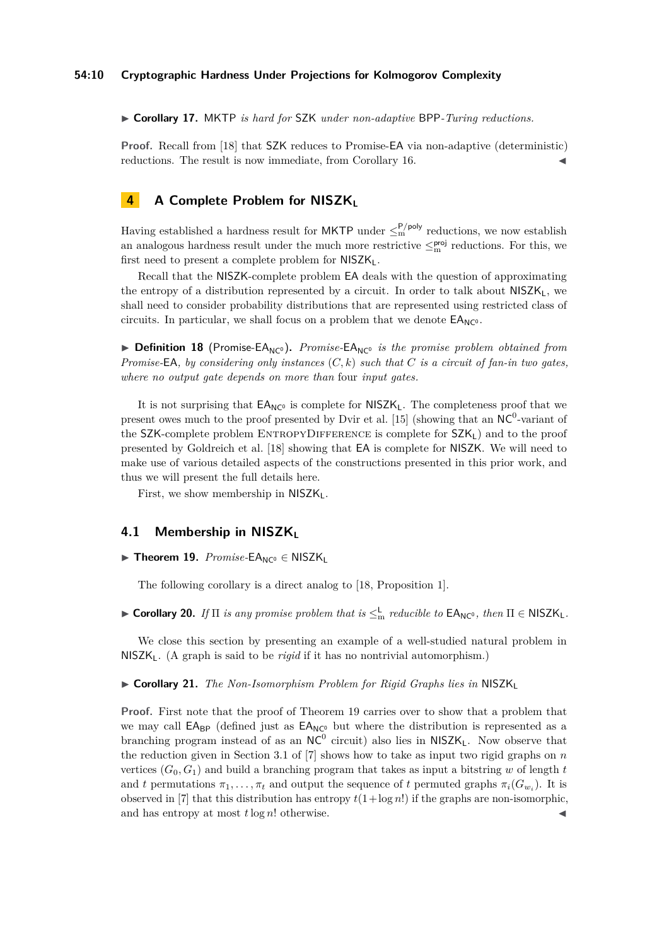#### **54:10 Cryptographic Hardness Under Projections for Kolmogorov Complexity**

▶ **Corollary 17.** MKTP *is hard for* SZK *under non-adaptive* BPP*-Turing reductions.*

**Proof.** Recall from [\[18\]](#page-15-4) that SZK reduces to Promise-EA via non-adaptive (deterministic) reductions. The result is now immediate, from Corollary [16.](#page-8-2)

# <span id="page-9-0"></span>**4 A Complete Problem for NISZK**<sub>L</sub>

Having established a hardness result for MKTP under  $\leq^{\mathsf{P/poly}}_{m}$  reductions, we now establish an analogous hardness result under the much more restrictive  $\leq^{\text{proj}}_{m}$  reductions. For this, we first need to present a complete problem for  $NISZK_L$ .

Recall that the NISZK-complete problem EA deals with the question of approximating the entropy of a distribution represented by a circuit. In order to talk about  $NISZK_L$ , we shall need to consider probability distributions that are represented using restricted class of circuits. In particular, we shall focus on a problem that we denote  $EA_{NC0}$ .

▶ **Definition 18** (Promise-EA<sub>NC<sup>0</sup></sub>). *Promise*-EA<sub>NC<sup>0</sup> *is the promise problem obtained from*</sub> *Promise-*EA*, by considering only instances* (*C, k*) *such that C is a circuit of fan-in two gates, where no output gate depends on more than* four *input gates.*

It is not surprising that  $EA_{NC^0}$  is complete for  $NISZK_L$ . The completeness proof that we present owes much to the proof presented by Dvir et al. [\[15\]](#page-15-6) (showing that an  $NC^0$ -variant of the SZK-complete problem ENTROPYDIFFERENCE is complete for  $SZK<sub>L</sub>$ ) and to the proof presented by Goldreich et al. [\[18\]](#page-15-4) showing that EA is complete for NISZK. We will need to make use of various detailed aspects of the constructions presented in this prior work, and thus we will present the full details here.

First, we show membership in NISZK<sub>L</sub>.

#### **4.1 Membership in NISZK<sup>L</sup>**

<span id="page-9-1"></span>▶ **Theorem 19.** *Promise*-EA<sub>NC</sub><sub>0</sub> ∈ NISZK<sub>L</sub>

The following corollary is a direct analog to [\[18,](#page-15-4) Proposition 1].

▶ **Corollary 20.** *If*  $\Pi$  *is any promise problem that is*  $\leq^{\mathsf{L}}_{m}$  *reducible to*  $\mathsf{EA}_{\mathsf{NC}^0}$ *, then*  $\Pi \in \mathsf{NISZK}_\mathsf{L}$ *.* 

We close this section by presenting an example of a well-studied natural problem in NISZKL. (A graph is said to be *rigid* if it has no nontrivial automorphism.)

▶ **Corollary 21.** *The Non-Isomorphism Problem for Rigid Graphs lies in* NISZK<sup>L</sup>

**Proof.** First note that the proof of Theorem [19](#page-9-1) carries over to show that a problem that we may call  $\mathsf{EA}_{\mathsf{BP}}$  (defined just as  $\mathsf{EA}_{\mathsf{NC}^0}$  but where the distribution is represented as a branching program instead of as an  $NC^0$  circuit) also lies in  $NISZK_L$ . Now observe that the reduction given in Section 3.1 of [\[7\]](#page-14-4) shows how to take as input two rigid graphs on *n* vertices  $(G_0, G_1)$  and build a branching program that takes as input a bitstring *w* of length *t* and *t* permutations  $\pi_1, \ldots, \pi_t$  and output the sequence of *t* permuted graphs  $\pi_i(G_{w_i})$ . It is observed in [\[7\]](#page-14-4) that this distribution has entropy  $t(1+\log n!)$  if the graphs are non-isomorphic, and has entropy at most  $t \log n!$  otherwise.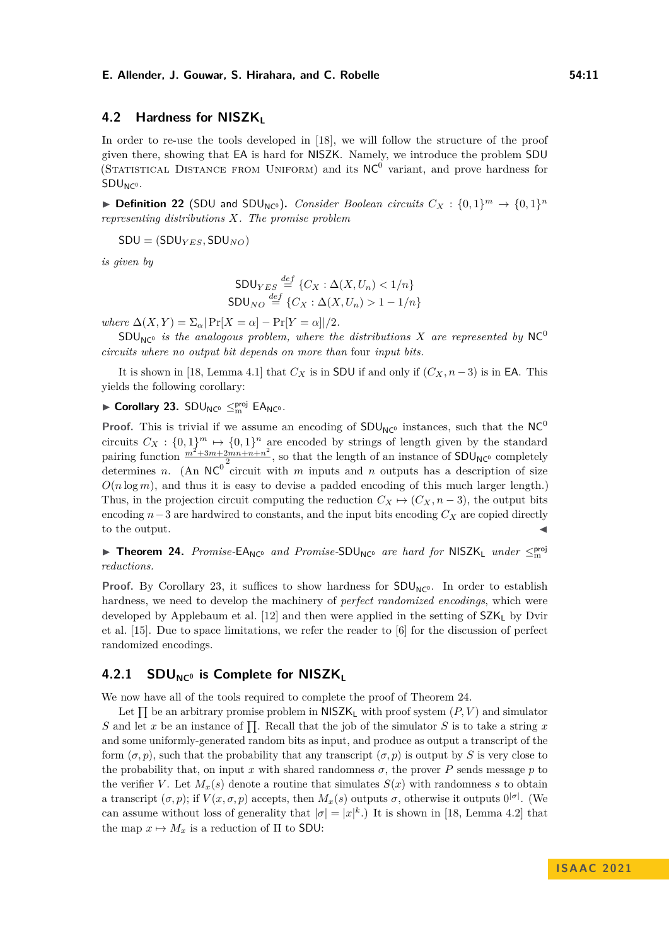# **4.2 Hardness for NISZK**

In order to re-use the tools developed in [\[18\]](#page-15-4), we will follow the structure of the proof given there, showing that EA is hard for NISZK. Namely, we introduce the problem SDU (STATISTICAL DISTANCE FROM UNIFORM) and its  $NC^0$  variant, and prove hardness for  $SDU<sub>NC0</sub>$ .

▶ **Definition 22** (SDU and SDU<sub>NC<sup>0</sup></sub>). *Consider Boolean circuits*  $C_X$  :  $\{0,1\}^m$  →  $\{0,1\}^n$ *representing distributions X. The promise problem*

 $SDU = (SDU_{YES}, SDU_{NO})$ 

*is given by*

$$
SDU_{YES} \stackrel{def}{=} \{C_X : \Delta(X, U_n) < 1/n\}
$$
\n
$$
SDU_{NO} \stackrel{def}{=} \{C_X : \Delta(X, U_n) > 1 - 1/n\}
$$

*where*  $\Delta(X, Y) = \Sigma_{\alpha} |\Pr[X = \alpha] - \Pr[Y = \alpha]|/2$ .

 $SDU_{NC^0}$  *is the analogous problem, where the distributions X are represented by*  $NC^0$ *circuits where no output bit depends on more than* four *input bits.*

It is shown in [\[18,](#page-15-4) Lemma 4.1] that  $C_X$  is in SDU if and only if  $(C_X, n-3)$  is in EA. This yields the following corollary:

<span id="page-10-0"></span>▶ **Corollary 23.**  $SDU_{NC^0} \leq_{m}^{proj} EA_{NC^0}$ .

**Proof.** This is trivial if we assume an encoding of  $SDU_{NC^o}$  instances, such that the NC<sup>0</sup> circuits  $C_X : \{0,1\}^m \mapsto \{0,1\}^n$  are encoded by strings of length given by the standard pairing function  $\frac{m^2+3m+2mn+n+n^2}{2}$  $\frac{2mn+n+n^2}{2}$ , so that the length of an instance of  $\text{SDU}_{\text{NC}^0}$  completely determines *n*. (An  $NC^0$  circuit with *m* inputs and *n* outputs has a description of size  $O(n \log m)$ , and thus it is easy to devise a padded encoding of this much larger length.) Thus, in the projection circuit computing the reduction  $C_X \mapsto (C_X, n-3)$ , the output bits encoding  $n-3$  are hardwired to constants, and the input bits encoding  $C_X$  are copied directly to the output.

<span id="page-10-1"></span>▶ **Theorem 24.** *Promise-EA<sub>NC</sub> and Promise-SDU<sub>NC</sub> are hard for* NISZK<sub>L</sub> *under*  $\leq^{\text{proj}}_{m}$ *reductions.*

**Proof.** By Corollary [23,](#page-10-0) it suffices to show hardness for  $SDU_{NC^0}$ . In order to establish hardness, we need to develop the machinery of *perfect randomized encodings*, which were developed by Applebaum et al. [\[12\]](#page-15-10) and then were applied in the setting of  $SZK_L$  by Dvir et al. [\[15\]](#page-15-6). Due to space limitations, we refer the reader to [\[6\]](#page-14-7) for the discussion of perfect randomized encodings.

# <span id="page-10-2"></span>**4.2.1 SDUNC<sup>0</sup> is Complete for NISZK<sup>L</sup>**

We now have all of the tools required to complete the proof of Theorem [24.](#page-10-1)

Let  $\prod$  be an arbitrary promise problem in  $NISZK<sub>L</sub>$  with proof system  $(P, V)$  and simulator *S* and let *x* be an instance of  $\prod$ . Recall that the job of the simulator *S* is to take a string *x* and some uniformly-generated random bits as input, and produce as output a transcript of the form  $(\sigma, p)$ , such that the probability that any transcript  $(\sigma, p)$  is output by *S* is very close to the probability that, on input *x* with shared randomness  $\sigma$ , the prover *P* sends message *p* to the verifier *V*. Let  $M_x(s)$  denote a routine that simulates  $S(x)$  with randomness *s* to obtain a transcript  $(\sigma, p)$ ; if  $V(x, \sigma, p)$  accepts, then  $M_x(s)$  outputs  $\sigma$ , otherwise it outputs  $0^{|\sigma|}$ . (We can assume without loss of generality that  $|\sigma| = |x|^k$ .) It is shown in [\[18,](#page-15-4) Lemma 4.2] that the map  $x \mapsto M_x$  is a reduction of  $\Pi$  to SDU: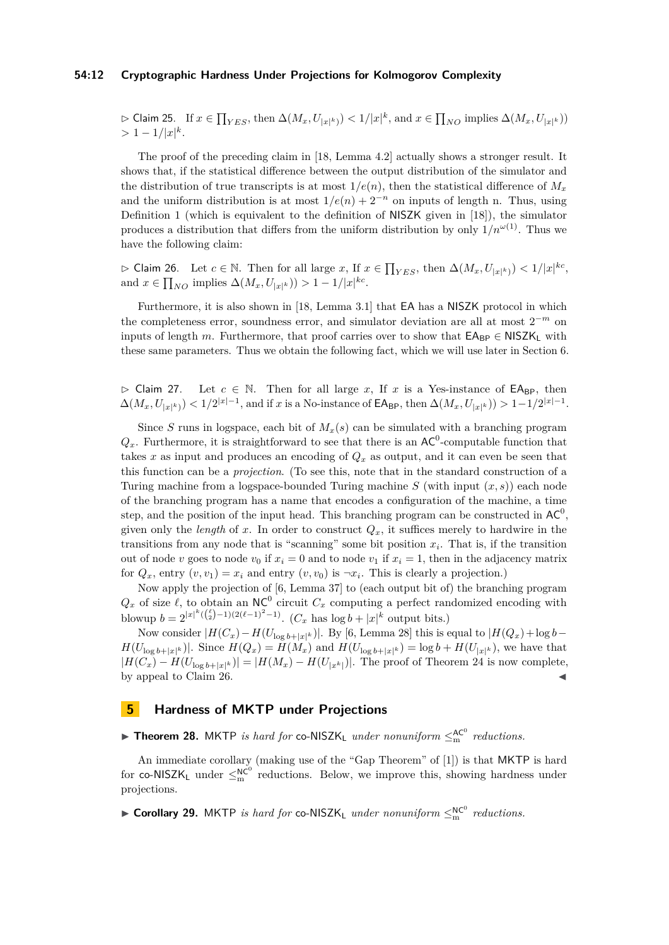#### **54:12 Cryptographic Hardness Under Projections for Kolmogorov Complexity**

 $\triangleright$  Claim 25. If  $x \in \prod_{YES}$ , then  $\Delta(M_x, U_{|x|^k})$  <  $1/|x|^k$ , and  $x \in \prod_{NO}$  implies  $\Delta(M_x, U_{|x|^k})$  $> 1 - 1/|x|^k$ .

The proof of the preceding claim in [\[18,](#page-15-4) Lemma 4.2] actually shows a stronger result. It shows that, if the statistical difference between the output distribution of the simulator and the distribution of true transcripts is at most  $1/e(n)$ , then the statistical difference of  $M<sub>x</sub>$ and the uniform distribution is at most  $1/e(n) + 2^{-n}$  on inputs of length n. Thus, using Definition [1](#page-4-0) (which is equivalent to the definition of NISZK given in [\[18\]](#page-15-4)), the simulator produces a distribution that differs from the uniform distribution by only  $1/n^{\omega(1)}$ . Thus we have the following claim:

<span id="page-11-1"></span> $\triangleright$  Claim 26. Let *c* ∈ N. Then for all large *x*, If  $x \in \prod_{YES}$ , then  $\Delta(M_x, U_{|x|^k})$  < 1/|*x*|<sup>*kc*</sup>, and  $x \in \prod_{NO}$  implies  $\Delta(M_x, U_{|x|^k})) > 1 - 1/|x|^{kc}$ .

Furthermore, it is also shown in [\[18,](#page-15-4) Lemma 3.1] that EA has a NISZK protocol in which the completeness error, soundness error, and simulator deviation are all at most 2 <sup>−</sup>*<sup>m</sup>* on inputs of length *m*. Furthermore, that proof carries over to show that  $\mathsf{E}_\mathsf{B} \in \mathsf{NISZK}_L$  with these same parameters. Thus we obtain the following fact, which we will use later in Section [6.](#page-12-0)

 $\triangleright$  Claim 27. Let  $c \in \mathbb{N}$ . Then for all large *x*, If *x* is a Yes-instance of EA<sub>BP</sub>, then  $\Delta(M_x, U_{|x|^k})$   $\lt 1/2^{|x|-1}$ , and if *x* is a No-instance of EA<sub>BP</sub>, then  $\Delta(M_x, U_{|x|^k})$   $> 1-1/2^{|x|-1}$ .

Since *S* runs in logspace, each bit of  $M_r(s)$  can be simulated with a branching program  $Q_x$ . Furthermore, it is straightforward to see that there is an  $AC^0$ -computable function that takes *x* as input and produces an encoding of  $Q_x$  as output, and it can even be seen that this function can be a *projection*. (To see this, note that in the standard construction of a Turing machine from a logspace-bounded Turing machine *S* (with input (*x, s*)) each node of the branching program has a name that encodes a configuration of the machine, a time step, and the position of the input head. This branching program can be constructed in  $AC^0$ , given only the *length* of x. In order to construct  $Q_x$ , it suffices merely to hardwire in the transitions from any node that is "scanning" some bit position  $x_i$ . That is, if the transition out of node *v* goes to node  $v_0$  if  $x_i = 0$  and to node  $v_1$  if  $x_i = 1$ , then in the adjacency matrix for  $Q_x$ , entry  $(v, v_1) = x_i$  and entry  $(v, v_0)$  is  $\neg x_i$ . This is clearly a projection.)

Now apply the projection of [\[6,](#page-14-7) Lemma 37] to (each output bit of) the branching program  $Q_x$  of size  $\ell$ , to obtain an NC<sup>0</sup> circuit  $C_x$  computing a perfect randomized encoding with blowup  $b = 2^{|x|^k \left(\binom{\ell}{2} - 1\right)(2(\ell-1)^2 - 1)}$ .  $(C_x \text{ has } \log b + |x|^k \text{ output bits.})$ 

Now consider  $|H(C_x) - H(U_{\log b + |x|^k})|$ . By [\[6,](#page-14-7) Lemma 28] this is equal to  $|H(Q_x) + \log b H(U_{\log b+|x|^k})$ . Since  $H(Q_x) = H(M_x)$  and  $H(U_{\log b+|x|^k}) = \log b + H(U_{|x|^k})$ , we have that  $|H(C_x) - H(U_{\log b + |x|^k})| = |H(M_x) - H(U_{|x^k|})|$ . The proof of Theorem [24](#page-10-1) is now complete, by appeal to Claim [26.](#page-11-1)

### <span id="page-11-0"></span>**5 Hardness of MKTP under Projections**

<span id="page-11-2"></span>▶ **Theorem 28.** MKTP *is hard for*  $\text{co-NISZK}_L$  *under nonuniform*  $\leq^{\text{AC}^0}_{m}$  *reductions.* 

An immediate corollary (making use of the "Gap Theorem" of [\[1\]](#page-14-8)) is that MKTP is hard for co-NISZK<sub>L</sub> under  $\leq^{\mathsf{NC}^0}_{m}$  reductions. Below, we improve this, showing hardness under projections.

▶ **Corollary 29.** MKTP *is hard for*  $co-NISZK<sub>L</sub>$  *under nonuniform*  $\leq^{{NC}^0}_{m}$  *reductions.*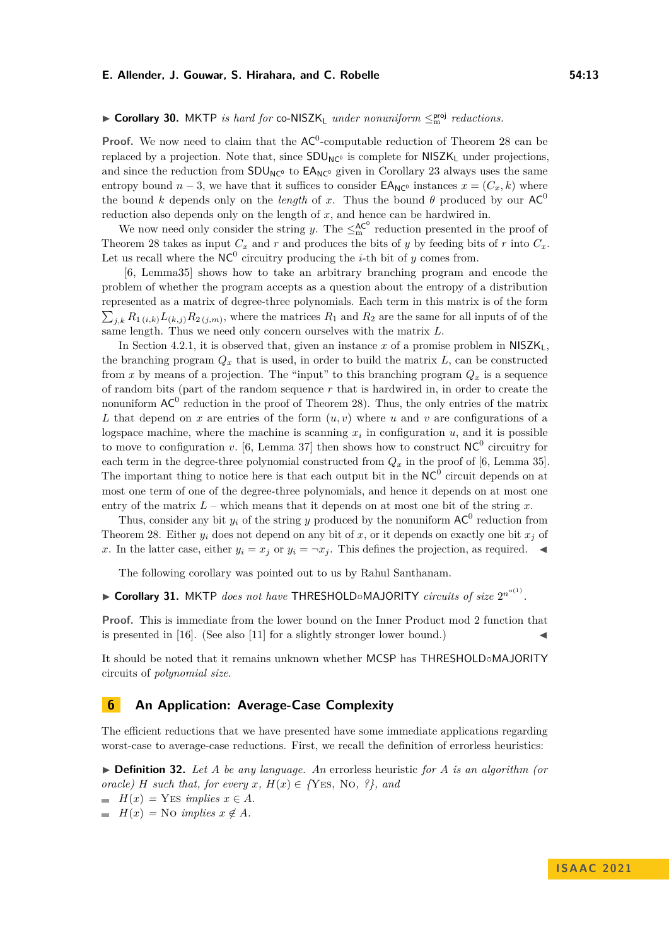# ▶ **Corollary 30.** MKTP *is hard for* co-NISZK<sub>L</sub> *under nonuniform*  $\leq^{\text{proj}}_{m}$  *reductions.*

**Proof.** We now need to claim that the  $AC^0$ -computable reduction of Theorem [28](#page-11-2) can be replaced by a projection. Note that, since  $SDU_{N\text{C}^0}$  is complete for NISZK<sub>L</sub> under projections, and since the reduction from  $SDU_{N}C_0$  to  $EA_{N}C_0$  given in Corollary [23](#page-10-0) always uses the same entropy bound  $n-3$ , we have that it suffices to consider  $\mathsf{EA}_{\mathsf{NC}^0}$  instances  $x = (C_x, k)$  where the bound *k* depends only on the *length* of *x*. Thus the bound  $\theta$  produced by our AC<sup>0</sup> reduction also depends only on the length of *x*, and hence can be hardwired in.

We now need only consider the string *y*. The  $\leq^{\mathsf{AC}^0}_{m}$  reduction presented in the proof of Theorem [28](#page-11-2) takes as input  $C_x$  and  $r$  and produces the bits of  $y$  by feeding bits of  $r$  into  $C_x$ . Let us recall where the  $NC^0$  circuitry producing the *i*-th bit of *y* comes from.

[\[6,](#page-14-7) Lemma35] shows how to take an arbitrary branching program and encode the problem of whether the program accepts as a question about the entropy of a distribution represented as a matrix of degree-three polynomials. Each term in this matrix is of the form  $\sum_{j,k} R_{1(i,k)} L_{(k,j)} R_{2(j,m)}$ , where the matrices  $R_1$  and  $R_2$  are the same for all inputs of of the same length. Thus we need only concern ourselves with the matrix *L*.

In Section [4.2.1,](#page-10-2) it is observed that, given an instance  $x$  of a promise problem in  $NISZK_L$ . the branching program  $Q_x$  that is used, in order to build the matrix  $L$ , can be constructed from x by means of a projection. The "input" to this branching program  $Q_x$  is a sequence of random bits (part of the random sequence *r* that is hardwired in, in order to create the nonuniform  $AC^0$  reduction in the proof of Theorem [28\)](#page-11-2). Thus, the only entries of the matrix L that depend on x are entries of the form  $(u, v)$  where u and v are configurations of a logspace machine, where the machine is scanning  $x_i$  in configuration  $u$ , and it is possible to move to configuration *v*. [\[6,](#page-14-7) Lemma 37] then shows how to construct  $NC^0$  circuitry for each term in the degree-three polynomial constructed from  $Q_x$  in the proof of [\[6,](#page-14-7) Lemma 35]. The important thing to notice here is that each output bit in the  $NC^0$  circuit depends on at most one term of one of the degree-three polynomials, and hence it depends on at most one entry of the matrix *L* – which means that it depends on at most one bit of the string *x*.

Thus, consider any bit  $y_i$  of the string  $y$  produced by the nonuniform  $AC^0$  reduction from Theorem [28.](#page-11-2) Either  $y_i$  does not depend on any bit of x, or it depends on exactly one bit  $x_j$  of *x*. In the latter case, either  $y_i = x_j$  or  $y_i = \neg x_j$ . This defines the projection, as required.  $\blacktriangleleft$ 

The following corollary was pointed out to us by Rahul Santhanam.

▶ Corollary 31. MKTP *does not have* THRESHOLD◦MAJORITY *circuits of size*  $2^{n^o(1)}$ .

**Proof.** This is immediate from the lower bound on the Inner Product mod 2 function that is presented in  $[16]$ . (See also  $[11]$  for a slightly stronger lower bound.)

It should be noted that it remains unknown whether MCSP has THRESHOLD◦MAJORITY circuits of *polynomial size*.

# <span id="page-12-0"></span>**6 An Application: Average-Case Complexity**

The efficient reductions that we have presented have some immediate applications regarding worst-case to average-case reductions. First, we recall the definition of errorless heuristics:

▶ **Definition 32.** *Let A be any language. An* errorless heuristic *for A is an algorithm (or oracle) H such that, for every x*,  $H(x) \in \{Y_{ES}, N_0, ?\}$ , and

- $H(x) = \text{Yes } implies \ x \in A.$
- $H(x) = \text{No }$  *implies*  $x \notin A$ *.*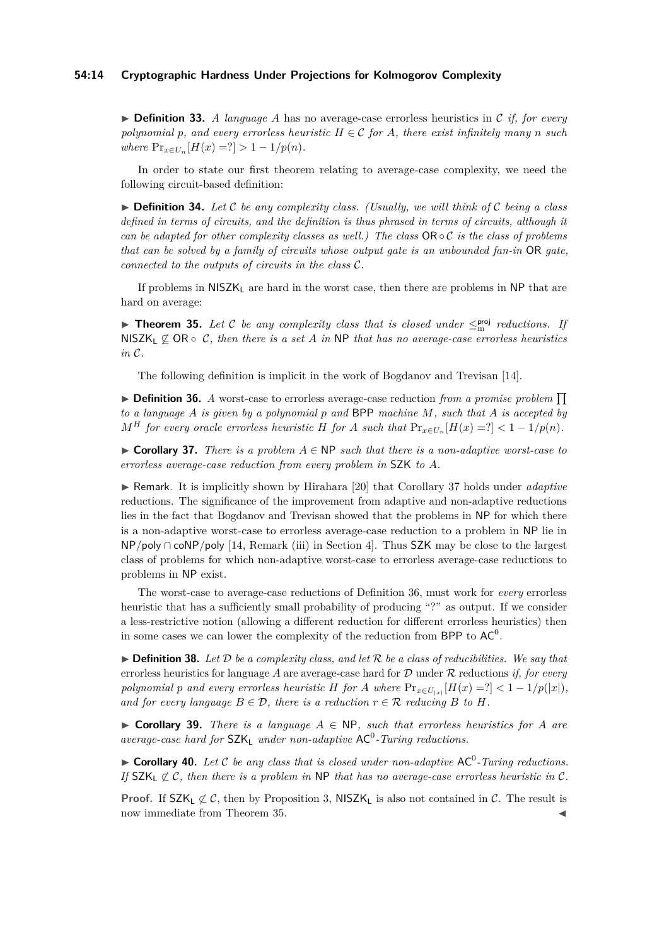#### **54:14 Cryptographic Hardness Under Projections for Kolmogorov Complexity**

▶ **Definition 33.** *A language A* has no average-case errorless heuristics in C *if, for every polynomial p*, and every errorless heuristic  $H \in \mathcal{C}$  for A, there exist infinitely many *n* such  $where \Pr_{x \in U_n}[H(x) = ?] > 1 - 1/p(n).$ 

In order to state our first theorem relating to average-case complexity, we need the following circuit-based definition:

▶ **Definition 34.** *Let* C *be any complexity class. (Usually, we will think of* C *being a class defined in terms of circuits, and the definition is thus phrased in terms of circuits, although it can be adapted for other complexity classes as well.) The class* OR ◦ C *is the class of problems that can be solved by a family of circuits whose output gate is an unbounded fan-in* OR *gate, connected to the outputs of circuits in the class* C*.*

If problems in  $NISZK<sub>L</sub>$  are hard in the worst case, then there are problems in NP that are hard on average:

<span id="page-13-0"></span>▶ **Theorem 35.** Let C be any complexity class that is closed under  $\leq^{\text{proj}}_{m}$  reductions. If NISZK<sub>L</sub>  $\nsubseteq$  OR  $\circ$  *C*, then there is a set *A* in NP that has no average-case errorless heuristics *in* C*.*

The following definition is implicit in the work of Bogdanov and Trevisan [\[14\]](#page-15-8).

<span id="page-13-2"></span> $\triangleright$  **Definition 36.** *A* worst-case to errorless average-case reduction *from a promise problem*  $\prod$ *to a language A is given by a polynomial p and* BPP *machine M, such that A is accepted by M*<sup>*H*</sup> *for every oracle errorless heuristic H for A such that*  $Pr_{x \in U_n}[H(x) = ?] < 1 - 1/p(n)$ *.* 

<span id="page-13-1"></span>▶ **Corollary 37.** *There is a problem A* ∈ NP *such that there is a non-adaptive worst-case to errorless average-case reduction from every problem in* SZK *to A.*

▶ Remark. It is implicitly shown by Hirahara [\[20\]](#page-15-7) that Corollary [37](#page-13-1) holds under *adaptive* reductions. The significance of the improvement from adaptive and non-adaptive reductions lies in the fact that Bogdanov and Trevisan showed that the problems in NP for which there is a non-adaptive worst-case to errorless average-case reduction to a problem in NP lie in NP/poly ∩ coNP/poly [\[14,](#page-15-8) Remark (iii) in Section 4]. Thus SZK may be close to the largest class of problems for which non-adaptive worst-case to errorless average-case reductions to problems in NP exist.

The worst-case to average-case reductions of Definition [36,](#page-13-2) must work for *every* errorless heuristic that has a sufficiently small probability of producing "?" as output. If we consider a less-restrictive notion (allowing a different reduction for different errorless heuristics) then in some cases we can lower the complexity of the reduction from BPP to  $AC^0$ .

 $\triangleright$  **Definition 38.** Let  $\mathcal{D}$  be a complexity class, and let  $\mathcal{R}$  be a class of reducibilities. We say that errorless heuristics for language *A* are average-case hard for D under R reductions *if, for every polynomial p* and every errorless heuristic *H* for *A* where  $Pr_{x \in U_{|x|}}[H(x) = ?] < 1 - 1/p(|x|)$ , *and for every language*  $B \in \mathcal{D}$ , there is a reduction  $r \in \mathcal{R}$  reducing B to H.

▶ **Corollary 39.** *There is a language A* ∈ NP*, such that errorless heuristics for A are average-case hard for* SZK<sup>L</sup> *under non-adaptive* AC<sup>0</sup> *-Turing reductions.*

▶ **Corollary 40.** Let C be any class that is closed under non-adaptive AC<sup>0</sup>-Turing reductions. *If*  $SLK_L \not\subset \mathcal{C}$ , then there is a problem in NP that has no average-case errorless heuristic in  $\mathcal{C}$ .

**Proof.** If  $SZK_L \not\subset C$ , then by Proposition [3,](#page-5-0) NISZK<sub>L</sub> is also not contained in C. The result is now immediate from Theorem [35.](#page-13-0)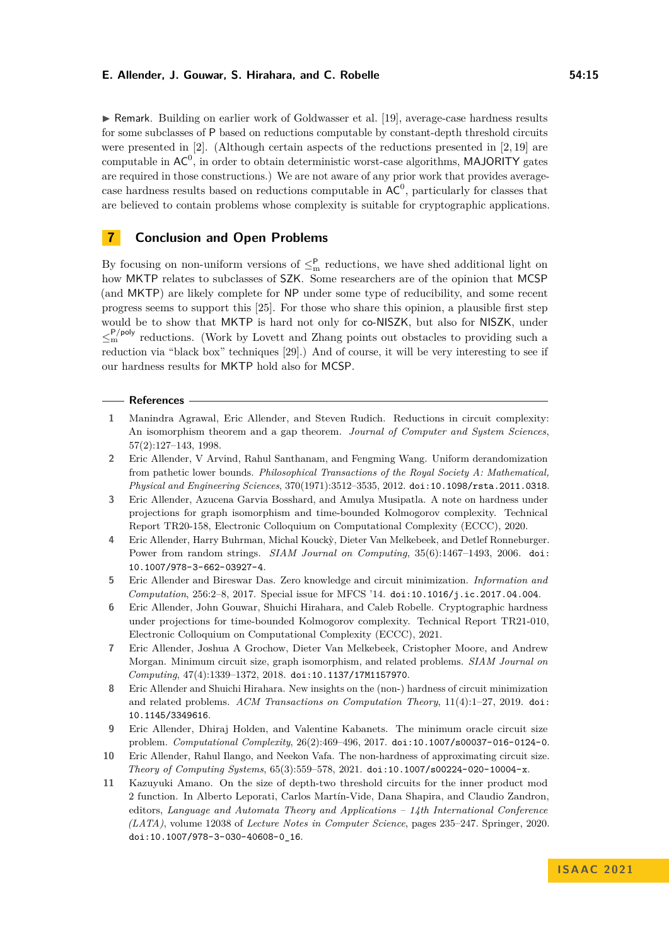▶ Remark. Building on earlier work of Goldwasser et al. [\[19\]](#page-15-12), average-case hardness results for some subclasses of P based on reductions computable by constant-depth threshold circuits were presented in [\[2\]](#page-14-10). (Although certain aspects of the reductions presented in [\[2,](#page-14-10) [19\]](#page-15-12) are computable in  $AC^0$ , in order to obtain deterministic worst-case algorithms, MAJORITY gates are required in those constructions.) We are not aware of any prior work that provides averagecase hardness results based on reductions computable in  $AC^0$ , particularly for classes that are believed to contain problems whose complexity is suitable for cryptographic applications.

# **7 Conclusion and Open Problems**

By focusing on non-uniform versions of  $\leq^P_m$  reductions, we have shed additional light on how MKTP relates to subclasses of SZK. Some researchers are of the opinion that MCSP (and MKTP) are likely complete for NP under some type of reducibility, and some recent progress seems to support this [\[25\]](#page-15-13). For those who share this opinion, a plausible first step would be to show that MKTP is hard not only for co-NISZK, but also for NISZK, under  $\leq^{\mathsf{P/poly}}_{m}$  reductions. (Work by Lovett and Zhang points out obstacles to providing such a reduction via "black box" techniques [\[29\]](#page-16-7).) And of course, it will be very interesting to see if our hardness results for MKTP hold also for MCSP.

#### **References**

- <span id="page-14-8"></span>**1** Manindra Agrawal, Eric Allender, and Steven Rudich. Reductions in circuit complexity: An isomorphism theorem and a gap theorem. *Journal of Computer and System Sciences*, 57(2):127–143, 1998.
- <span id="page-14-10"></span>**2** Eric Allender, V Arvind, Rahul Santhanam, and Fengming Wang. Uniform derandomization from pathetic lower bounds. *Philosophical Transactions of the Royal Society A: Mathematical, Physical and Engineering Sciences*, 370(1971):3512–3535, 2012. [doi:10.1098/rsta.2011.0318](https://doi.org/10.1098/rsta.2011.0318).
- <span id="page-14-6"></span>**3** Eric Allender, Azucena Garvia Bosshard, and Amulya Musipatla. A note on hardness under projections for graph isomorphism and time-bounded Kolmogorov complexity. Technical Report TR20-158, Electronic Colloquium on Computational Complexity (ECCC), 2020.
- <span id="page-14-0"></span>**4** Eric Allender, Harry Buhrman, Michal Kouck`y, Dieter Van Melkebeek, and Detlef Ronneburger. Power from random strings. *SIAM Journal on Computing*, 35(6):1467–1493, 2006. [doi:](https://doi.org/10.1007/978-3-662-03927-4) [10.1007/978-3-662-03927-4](https://doi.org/10.1007/978-3-662-03927-4).
- <span id="page-14-1"></span>**5** Eric Allender and Bireswar Das. Zero knowledge and circuit minimization. *Information and Computation*, 256:2–8, 2017. Special issue for MFCS '14. [doi:10.1016/j.ic.2017.04.004](https://doi.org/10.1016/j.ic.2017.04.004).
- <span id="page-14-7"></span>**6** Eric Allender, John Gouwar, Shuichi Hirahara, and Caleb Robelle. Cryptographic hardness under projections for time-bounded Kolmogorov complexity. Technical Report TR21-010, Electronic Colloquium on Computational Complexity (ECCC), 2021.
- <span id="page-14-4"></span>**7** Eric Allender, Joshua A Grochow, Dieter Van Melkebeek, Cristopher Moore, and Andrew Morgan. Minimum circuit size, graph isomorphism, and related problems. *SIAM Journal on Computing*, 47(4):1339–1372, 2018. [doi:10.1137/17M1157970](https://doi.org/10.1137/17M1157970).
- <span id="page-14-5"></span>**8** Eric Allender and Shuichi Hirahara. New insights on the (non-) hardness of circuit minimization and related problems. *ACM Transactions on Computation Theory*, 11(4):1–27, 2019. [doi:](https://doi.org/10.1145/3349616) [10.1145/3349616](https://doi.org/10.1145/3349616).
- <span id="page-14-2"></span>**9** Eric Allender, Dhiraj Holden, and Valentine Kabanets. The minimum oracle circuit size problem. *Computational Complexity*, 26(2):469–496, 2017. [doi:10.1007/s00037-016-0124-0](https://doi.org/10.1007/s00037-016-0124-0).
- <span id="page-14-3"></span>**10** Eric Allender, Rahul Ilango, and Neekon Vafa. The non-hardness of approximating circuit size. *Theory of Computing Systems*, 65(3):559–578, 2021. [doi:10.1007/s00224-020-10004-x](https://doi.org/10.1007/s00224-020-10004-x).
- <span id="page-14-9"></span>**11** Kazuyuki Amano. On the size of depth-two threshold circuits for the inner product mod 2 function. In Alberto Leporati, Carlos Martín-Vide, Dana Shapira, and Claudio Zandron, editors, *Language and Automata Theory and Applications – 14th International Conference (LATA)*, volume 12038 of *Lecture Notes in Computer Science*, pages 235–247. Springer, 2020. [doi:10.1007/978-3-030-40608-0\\_16](https://doi.org/10.1007/978-3-030-40608-0_16).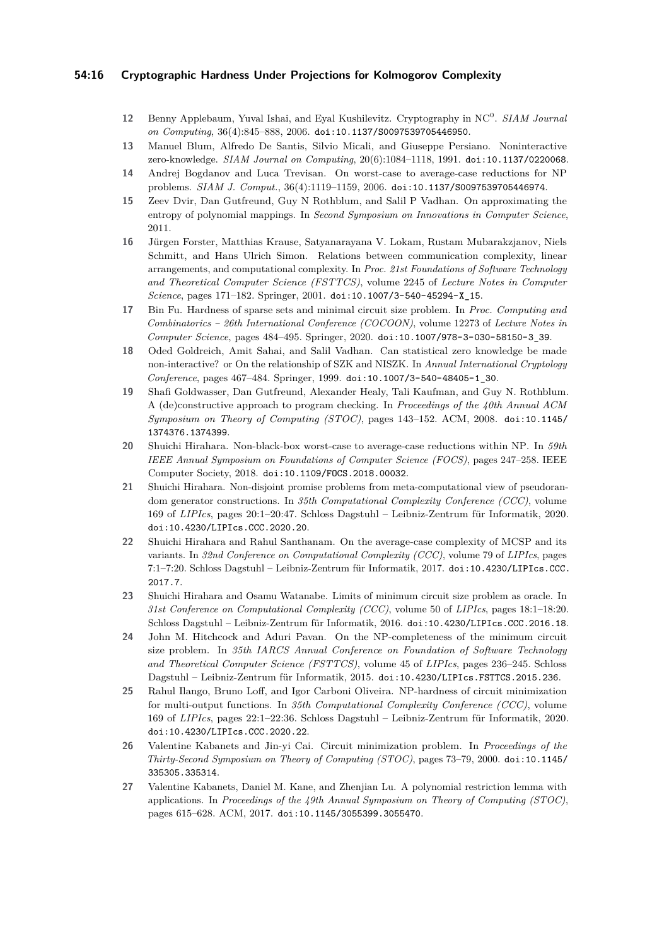#### **54:16 Cryptographic Hardness Under Projections for Kolmogorov Complexity**

- <span id="page-15-10"></span>**12** Benny Applebaum, Yuval Ishai, and Eyal Kushilevitz. Cryptography in NC<sup>0</sup> . *SIAM Journal on Computing*, 36(4):845–888, 2006. [doi:10.1137/S0097539705446950](https://doi.org/10.1137/S0097539705446950).
- <span id="page-15-9"></span>**13** Manuel Blum, Alfredo De Santis, Silvio Micali, and Giuseppe Persiano. Noninteractive zero-knowledge. *SIAM Journal on Computing*, 20(6):1084–1118, 1991. [doi:10.1137/0220068](https://doi.org/10.1137/0220068).
- <span id="page-15-8"></span>**14** Andrej Bogdanov and Luca Trevisan. On worst-case to average-case reductions for NP problems. *SIAM J. Comput.*, 36(4):1119–1159, 2006. [doi:10.1137/S0097539705446974](https://doi.org/10.1137/S0097539705446974).
- <span id="page-15-6"></span>**15** Zeev Dvir, Dan Gutfreund, Guy N Rothblum, and Salil P Vadhan. On approximating the entropy of polynomial mappings. In *Second Symposium on Innovations in Computer Science*, 2011.
- <span id="page-15-11"></span>**16** Jürgen Forster, Matthias Krause, Satyanarayana V. Lokam, Rustam Mubarakzjanov, Niels Schmitt, and Hans Ulrich Simon. Relations between communication complexity, linear arrangements, and computational complexity. In *Proc. 21st Foundations of Software Technology and Theoretical Computer Science (FSTTCS)*, volume 2245 of *Lecture Notes in Computer Science*, pages 171–182. Springer, 2001. [doi:10.1007/3-540-45294-X\\_15](https://doi.org/10.1007/3-540-45294-X_15).
- <span id="page-15-0"></span>**17** Bin Fu. Hardness of sparse sets and minimal circuit size problem. In *Proc. Computing and Combinatorics – 26th International Conference (COCOON)*, volume 12273 of *Lecture Notes in Computer Science*, pages 484–495. Springer, 2020. [doi:10.1007/978-3-030-58150-3\\_39](https://doi.org/10.1007/978-3-030-58150-3_39).
- <span id="page-15-4"></span>**18** Oded Goldreich, Amit Sahai, and Salil Vadhan. Can statistical zero knowledge be made non-interactive? or On the relationship of SZK and NISZK. In *Annual International Cryptology Conference*, pages 467–484. Springer, 1999. [doi:10.1007/3-540-48405-1\\_30](https://doi.org/10.1007/3-540-48405-1_30).
- <span id="page-15-12"></span>**19** Shafi Goldwasser, Dan Gutfreund, Alexander Healy, Tali Kaufman, and Guy N. Rothblum. A (de)constructive approach to program checking. In *Proceedings of the 40th Annual ACM Symposium on Theory of Computing (STOC)*, pages 143–152. ACM, 2008. [doi:10.1145/](https://doi.org/10.1145/1374376.1374399) [1374376.1374399](https://doi.org/10.1145/1374376.1374399).
- <span id="page-15-7"></span>**20** Shuichi Hirahara. Non-black-box worst-case to average-case reductions within NP. In *59th IEEE Annual Symposium on Foundations of Computer Science (FOCS)*, pages 247–258. IEEE Computer Society, 2018. [doi:10.1109/FOCS.2018.00032](https://doi.org/10.1109/FOCS.2018.00032).
- <span id="page-15-1"></span>**21** Shuichi Hirahara. Non-disjoint promise problems from meta-computational view of pseudorandom generator constructions. In *35th Computational Complexity Conference (CCC)*, volume 169 of *LIPIcs*, pages 20:1–20:47. Schloss Dagstuhl – Leibniz-Zentrum für Informatik, 2020. [doi:10.4230/LIPIcs.CCC.2020.20](https://doi.org/10.4230/LIPIcs.CCC.2020.20).
- **22** Shuichi Hirahara and Rahul Santhanam. On the average-case complexity of MCSP and its variants. In *32nd Conference on Computational Complexity (CCC)*, volume 79 of *LIPIcs*, pages 7:1–7:20. Schloss Dagstuhl – Leibniz-Zentrum für Informatik, 2017. [doi:10.4230/LIPIcs.CCC.](https://doi.org/10.4230/LIPIcs.CCC.2017.7) [2017.7](https://doi.org/10.4230/LIPIcs.CCC.2017.7).
- **23** Shuichi Hirahara and Osamu Watanabe. Limits of minimum circuit size problem as oracle. In *31st Conference on Computational Complexity (CCC)*, volume 50 of *LIPIcs*, pages 18:1–18:20. Schloss Dagstuhl – Leibniz-Zentrum für Informatik, 2016. [doi:10.4230/LIPIcs.CCC.2016.18](https://doi.org/10.4230/LIPIcs.CCC.2016.18).
- <span id="page-15-2"></span>**24** John M. Hitchcock and Aduri Pavan. On the NP-completeness of the minimum circuit size problem. In *35th IARCS Annual Conference on Foundation of Software Technology and Theoretical Computer Science (FSTTCS)*, volume 45 of *LIPIcs*, pages 236–245. Schloss Dagstuhl – Leibniz-Zentrum für Informatik, 2015. [doi:10.4230/LIPIcs.FSTTCS.2015.236](https://doi.org/10.4230/LIPIcs.FSTTCS.2015.236).
- <span id="page-15-13"></span>**25** Rahul Ilango, Bruno Loff, and Igor Carboni Oliveira. NP-hardness of circuit minimization for multi-output functions. In *35th Computational Complexity Conference (CCC)*, volume 169 of *LIPIcs*, pages 22:1–22:36. Schloss Dagstuhl – Leibniz-Zentrum für Informatik, 2020. [doi:10.4230/LIPIcs.CCC.2020.22](https://doi.org/10.4230/LIPIcs.CCC.2020.22).
- <span id="page-15-3"></span>**26** Valentine Kabanets and Jin-yi Cai. Circuit minimization problem. In *Proceedings of the Thirty-Second Symposium on Theory of Computing (STOC)*, pages 73–79, 2000. [doi:10.1145/](https://doi.org/10.1145/335305.335314) [335305.335314](https://doi.org/10.1145/335305.335314).
- <span id="page-15-5"></span>**27** Valentine Kabanets, Daniel M. Kane, and Zhenjian Lu. A polynomial restriction lemma with applications. In *Proceedings of the 49th Annual Symposium on Theory of Computing (STOC)*, pages 615–628. ACM, 2017. [doi:10.1145/3055399.3055470](https://doi.org/10.1145/3055399.3055470).